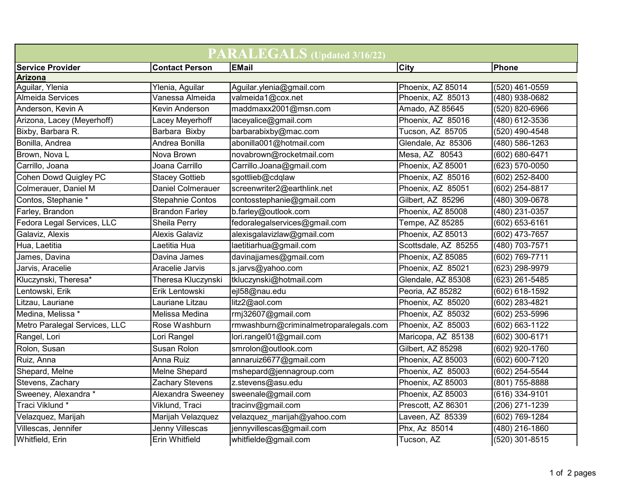| PARALEGALS (Updated 3/16/22)   |                       |                                        |                      |                    |  |  |  |
|--------------------------------|-----------------------|----------------------------------------|----------------------|--------------------|--|--|--|
| <b>Service Provider</b>        | <b>Contact Person</b> | <b>EMail</b>                           | City                 | Phone              |  |  |  |
| <b>Arizona</b>                 |                       |                                        |                      |                    |  |  |  |
| Aguilar, Ylenia                | Ylenia, Aguilar       | Aguilar.ylenia@gmail.com               | Phoenix, AZ 85014    | (520) 461-0559     |  |  |  |
| Almeida Services               | Vanessa Almeida       | valmeida1@cox.net                      | Phoenix, AZ 85013    | (480) 938-0682     |  |  |  |
| Anderson, Kevin A              | Kevin Anderson        | maddmaxx2001@msn.com                   | Amado, AZ 85645      | (520) 820-6966     |  |  |  |
| Arizona, Lacey (Meyerhoff)     | Lacey Meyerhoff       | laceyalice@gmail.com                   | Phoenix, AZ 85016    | (480) 612-3536     |  |  |  |
| Bixby, Barbara R.              | Barbara Bixby         | barbarabixby@mac.com                   | Tucson, AZ 85705     | (520) 490-4548     |  |  |  |
| Bonilla, Andrea                | Andrea Bonilla        | abonilla001@hotmail.com                | Glendale, Az 85306   | (480) 586-1263     |  |  |  |
| Brown, Nova L                  | Nova Brown            | novabrown@rocketmail.com               | Mesa, AZ 80543       | (602) 680-6471     |  |  |  |
| Carrillo, Joana                | Joana Carrillo        | Carrillo.Joana@gmail.com               | Phoenix, AZ 85001    | $(623) 570 - 0050$ |  |  |  |
| Cohen Dowd Quigley PC          | <b>Stacey Gottieb</b> | sgottlieb@cdqlaw                       | Phoenix, AZ 85016    | (602) 252-8400     |  |  |  |
| Colmerauer, Daniel M           | Daniel Colmerauer     | screenwriter2@earthlink.net            | Phoenix, AZ 85051    | (602) 254-8817     |  |  |  |
| Contos, Stephanie <sup>*</sup> | Stepahnie Contos      | contosstephanie@gmail.com              | Gilbert, AZ 85296    | (480) 309-0678     |  |  |  |
| Farley, Brandon                | <b>Brandon Farley</b> | b.farley@outlook.com                   | Phoenix, AZ 85008    | (480) 231-0357     |  |  |  |
| Fedora Legal Services, LLC     | Sheila Perry          | fedoralegalservices@gmail.com          | Tempe, AZ 85285      | (602) 653-6161     |  |  |  |
| Galaviz, Alexis                | <b>Alexis Galaviz</b> | alexisgalavizlaw@gmail.com             | Phoenix, AZ 85013    | (602) 473-7657     |  |  |  |
| Hua, Laetitia                  | Laetitia Hua          | laetitiarhua@gmail.com                 | Scottsdale, AZ 85255 | (480) 703-7571     |  |  |  |
| James, Davina                  | Davina James          | davinajjames@gmail.com                 | Phoenix, AZ 85085    | (602) 769-7711     |  |  |  |
| Jarvis, Aracelie               | Aracelie Jarvis       | s.jarvs@yahoo.com                      | Phoenix, AZ 85021    | (623) 298-9979     |  |  |  |
| Kluczynski, Theresa*           | Theresa Kluczynski    | tkluczynski@hotmail.com                | Glendale, AZ 85308   | (623) 261-5485     |  |  |  |
| Lentowski, Erik                | Erik Lentowski        | ejl58@nau.edu                          | Peoria, AZ 85282     | (602) 618-1592     |  |  |  |
| Litzau, Lauriane               | Lauriane Litzau       | litz2@aol.com                          | Phoenix, AZ 85020    | (602) 283-4821     |  |  |  |
| Medina, Melissa *              | Melissa Medina        | rmj32607@gmail.com                     | Phoenix, AZ 85032    | (602) 253-5996     |  |  |  |
| Metro Paralegal Services, LLC  | Rose Washburn         | rmwashburn@criminalmetroparalegals.com | Phoenix, AZ 85003    | (602) 663-1122     |  |  |  |
| Rangel, Lori                   | Lori Rangel           | lori.rangel01@gmail.com                | Maricopa, AZ 85138   | (602) 300-6171     |  |  |  |
| Rolon, Susan                   | Susan Rolon           | smrolon@outlook.com                    | Gilbert, AZ 85298    | (602) 920-1760     |  |  |  |
| Ruiz, Anna                     | Anna Ruiz             | annaruiz6677@gmail.com                 | Phoenix, AZ 85003    | (602) 600-7120     |  |  |  |
| Shepard, Melne                 | Melne Shepard         | mshepard@jennagroup.com                | Phoenix, AZ 85003    | (602) 254-5544     |  |  |  |
| Stevens, Zachary               | Zachary Stevens       | z.stevens@asu.edu                      | Phoenix, AZ 85003    | (801) 755-8888     |  |  |  |
| Sweeney, Alexandra *           | Alexandra Sweeney     | sweenale@gmail.com                     | Phoenix, AZ 85003    | (616) 334-9101     |  |  |  |
| Traci Viklund *                | Viklund, Traci        | tracinv@gmail.com                      | Prescott, AZ 86301   | (206) 271-1239     |  |  |  |
| Velazquez, Marijah             | Marijah Velazquez     | velazquez_marijah@yahoo.com            | Laveen, AZ 85339     | (602) 769-1284     |  |  |  |
| Villescas, Jennifer            | Jenny Villescas       | jennyvillescas@gmail.com               | Phx, Az 85014        | (480) 216-1860     |  |  |  |
| Whitfield, Erin                | Erin Whitfield        | whitfielde@gmail.com                   | Tucson, AZ           | (520) 301-8515     |  |  |  |